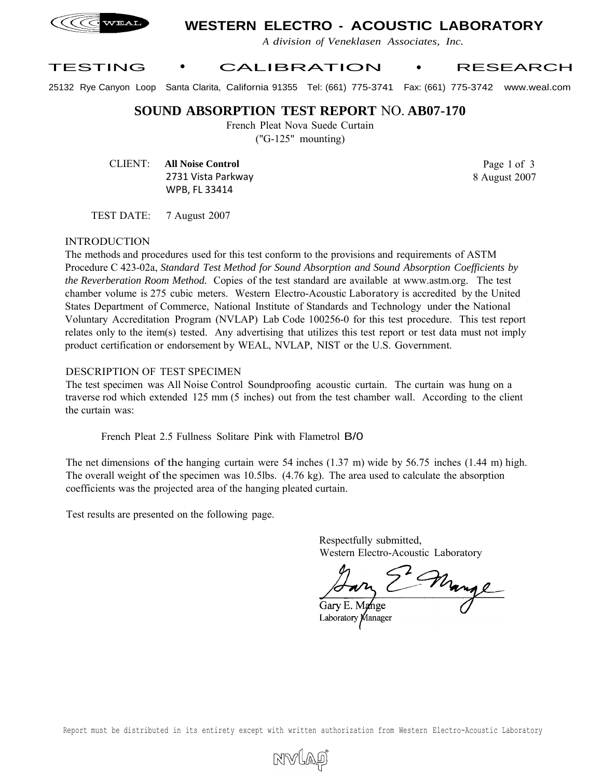

# **WESTERN ELECTRO - ACOUSTIC LABORATORY**

*A division of Veneklasen Associates, Inc.*

### TESTING • CALIBRATION • RESEARCH

25132 Rye Canyon Loop Santa Clarita, California 91355 Tel: (661) 775-3741 Fax: (661) 775-3742 www.weal.com

**SOUND ABSORPTION TEST REPORT** NO. **AB07-170**

French Pleat Nova Suede Curtain

("G-125" mounting)

CLIENT: **All Noise Control** 2731 Vista Parkway WPB, FL 33414

Page 1 of 3 8 August 2007

TEST DATE: 7 August 2007

#### INTRODUCTION

The methods and procedures used for this test conform to the provisions and requirements of ASTM Procedure C 423-02a, *Standard Test Method for Sound Absorption and Sound Absorption Coefficients by the Reverberation Room Method.* Copies of the test standard are available at www.astm.org. The test chamber volume is 275 cubic meters. Western Electro-Acoustic Laboratory is accredited by the United States Department of Commerce, National Institute of Standards and Technology under the National Voluntary Accreditation Program (NVLAP) Lab Code 100256-0 for this test procedure. This test report relates only to the item(s) tested. Any advertising that utilizes this test report or test data must not imply product certification or endorsement by WEAL, NVLAP, NIST or the U.S. Government.

#### DESCRIPTION OF TEST SPECIMEN

The test specimen was All Noise Control Soundproofing acoustic curtain. The curtain was hung on a traverse rod which extended 125 mm (5 inches) out from the test chamber wall. According to the client the curtain was:

French Pleat 2.5 Fullness Solitare Pink with Flametrol B/0

The net dimensions of the hanging curtain were 54 inches (1.37 m) wide by 56.75 inches (1.44 m) high. The overall weight of the specimen was 10.5lbs. (4.76 kg). The area used to calculate the absorption coefficients was the projected area of the hanging pleated curtain.

Test results are presented on the following page.

Respectfully submitted, Western Electro-Acoustic Laboratory

Marge

Gary E. Mange Laboratory Manager

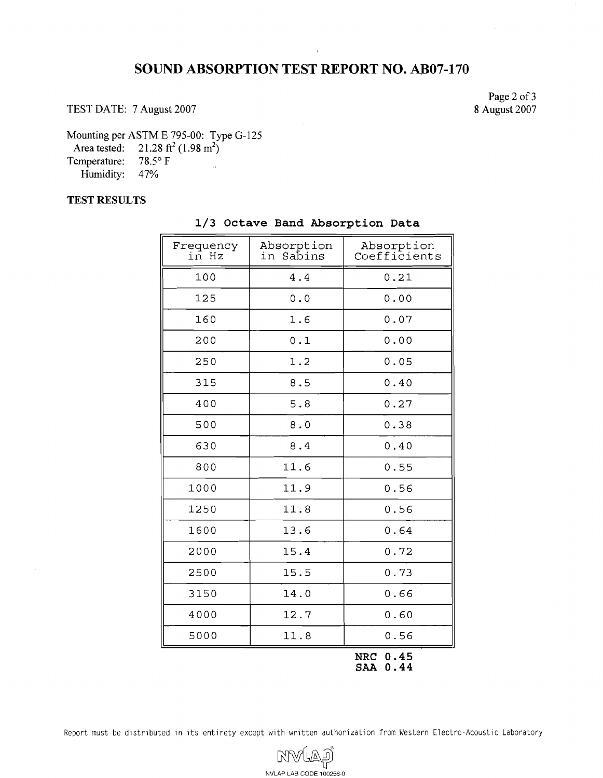## **SOUND ABSORPTION TEST REPORT NO. AB07-170**

TEST DATE: 7 August 2007

Page 2 of 3 8 August 2007

Mounting per ASTM E 795-00: Type G-125

Area tested:  $21.28 \text{ ft}^2 (1.98 \text{ m}^2)$ 

Temperature: 78.5° F Humidity: 47%

**TEST RESULTS** 

| Frequency<br>in Hz | Absorption<br>in Sabins | Absorption<br>Coefficients |
|--------------------|-------------------------|----------------------------|
| 100                | 4.4                     | 0.21                       |
| 125                | 0.0                     | 0.00                       |
| 160                | 1.6                     | 0.07                       |
| 200                | 0.1                     | 0.00                       |
| 250                | 1.2                     | 0.05                       |
| 315                | 8.5                     | 0.40                       |
| 400                | 5.8                     | 0.27                       |
| 500                | 8.0                     | 0.38                       |
| 630                | 8.4                     | 0.40                       |
| 800                | 11.6                    | 0.55                       |
| 1000               | 11.9                    | 0.56                       |
| 1250               | 11.8                    | 0.56                       |
| 1600               | 13.6                    | 0.64                       |
| 2000               | 15.4                    | 0.72                       |
| 2500               | 15.5                    | 0.73                       |
| 3150               | 14.0                    | 0.66                       |
| 4000               | 12.7                    | 0.60                       |
| 5000               | 11.8                    | 0.56                       |

### 1/3 Octave Band Absorption Data

**NRC 0.45 SAA 0.44** 

Report must be distributed in its entirety except with written authorization from Western Electro-Acoustic Laboratory